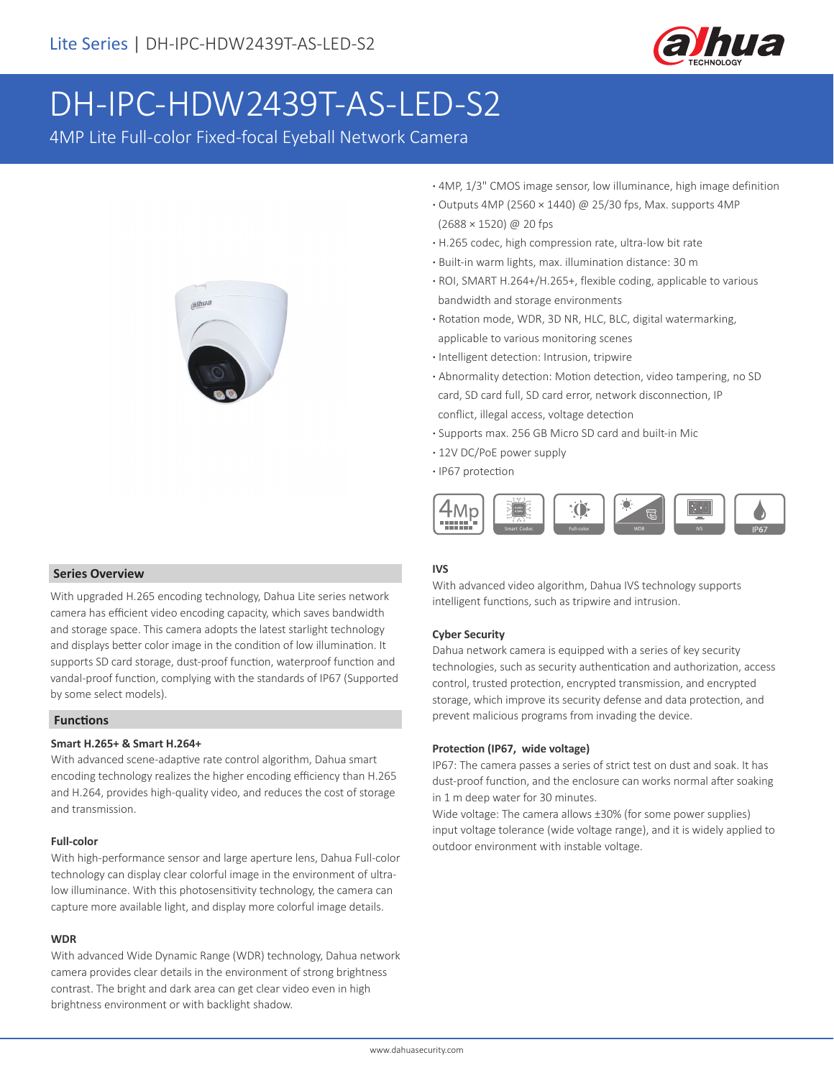

# DH-IPC-HDW2439T-AS-LED-S2

4MP Lite Full-color Fixed-focal Eyeball Network Camera



- **·** 4MP, 1/3" CMOS image sensor, low illuminance, high image definition
- **·** Outputs 4MP (2560 × 1440) @ 25/30 fps, Max. supports 4MP (2688 × 1520) @ 20 fps
- **·** H.265 codec, high compression rate, ultra-low bit rate
- **·** Built-in warm lights, max. illumination distance: 30 m
- **·** ROI, SMART H.264+/H.265+, flexible coding, applicable to various bandwidth and storage environments
- **·** Rotation mode, WDR, 3D NR, HLC, BLC, digital watermarking, applicable to various monitoring scenes
- **·** Intelligent detection: Intrusion, tripwire
- **·** Abnormality detection: Motion detection, video tampering, no SD card, SD card full, SD card error, network disconnection, IP conflict, illegal access, voltage detection
- **·** Supports max. 256 GB Micro SD card and built-in Mic
- **·** 12V DC/PoE power supply
- **·** IP67 protection



### **IVS**

With advanced video algorithm, Dahua IVS technology supports intelligent functions, such as tripwire and intrusion.

### **Cyber Security**

Dahua network camera is equipped with a series of key security technologies, such as security authentication and authorization, access control, trusted protection, encrypted transmission, and encrypted storage, which improve its security defense and data protection, and prevent malicious programs from invading the device.

### **Protection (IP67, wide voltage)**

IP67: The camera passes a series of strict test on dust and soak. It has dust-proof function, and the enclosure can works normal after soaking in 1 m deep water for 30 minutes.

Wide voltage: The camera allows ±30% (for some power supplies) input voltage tolerance (wide voltage range), and it is widely applied to outdoor environment with instable voltage.

### **Series Overview**

With upgraded H.265 encoding technology, Dahua Lite series network camera has efficient video encoding capacity, which saves bandwidth and storage space. This camera adopts the latest starlight technology and displays better color image in the condition of low illumination. It supports SD card storage, dust-proof function, waterproof function and vandal-proof function, complying with the standards of IP67 (Supported by some select models).

### **Functions**

### **Smart H.265+ & Smart H.264+**

With advanced scene-adaptive rate control algorithm, Dahua smart encoding technology realizes the higher encoding efficiency than H.265 and H.264, provides high-quality video, and reduces the cost of storage and transmission.

#### **Full-color**

With high-performance sensor and large aperture lens, Dahua Full-color technology can display clear colorful image in the environment of ultralow illuminance. With this photosensitivity technology, the camera can capture more available light, and display more colorful image details.

### **WDR**

With advanced Wide Dynamic Range (WDR) technology, Dahua network camera provides clear details in the environment of strong brightness contrast. The bright and dark area can get clear video even in high brightness environment or with backlight shadow.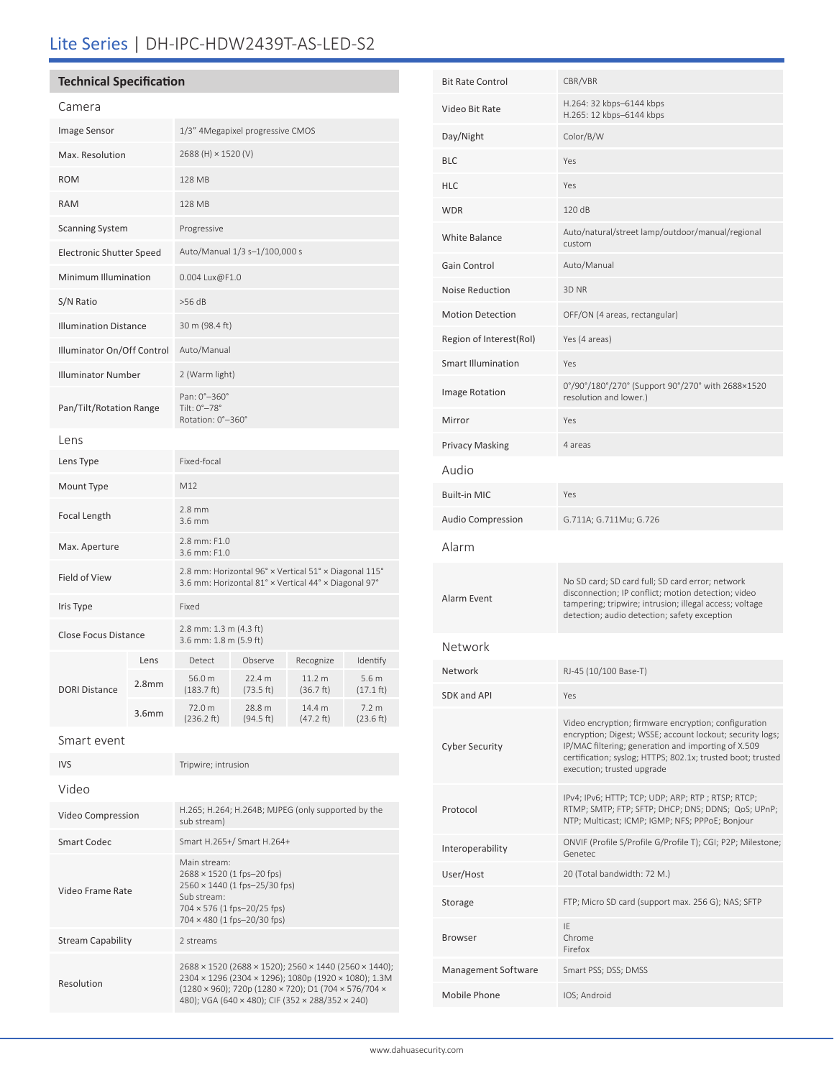# Lite Series | DH-IPC-HDW2439T-AS-LED-S2

## **Technical Specification**

Resolution

| Camera                          |                   |                                                                                                                                                          |                     |                     |                               |
|---------------------------------|-------------------|----------------------------------------------------------------------------------------------------------------------------------------------------------|---------------------|---------------------|-------------------------------|
| Image Sensor                    |                   | 1/3" 4Megapixel progressive CMOS                                                                                                                         |                     |                     |                               |
| Max. Resolution                 |                   | 2688 (H) × 1520 (V)                                                                                                                                      |                     |                     |                               |
| <b>ROM</b>                      |                   | 128 MB                                                                                                                                                   |                     |                     |                               |
| <b>RAM</b>                      |                   | 128 MB                                                                                                                                                   |                     |                     |                               |
| <b>Scanning System</b>          |                   | Progressive                                                                                                                                              |                     |                     |                               |
| <b>Electronic Shutter Speed</b> |                   | Auto/Manual 1/3 s-1/100,000 s                                                                                                                            |                     |                     |                               |
| Minimum Illumination            |                   | 0.004 Lux@F1.0                                                                                                                                           |                     |                     |                               |
| S/N Ratio                       |                   | $>56$ dB                                                                                                                                                 |                     |                     |                               |
| <b>Illumination Distance</b>    |                   | 30 m (98.4 ft)                                                                                                                                           |                     |                     |                               |
| Illuminator On/Off Control      |                   | Auto/Manual                                                                                                                                              |                     |                     |                               |
| <b>Illuminator Number</b>       |                   | 2 (Warm light)                                                                                                                                           |                     |                     |                               |
| Pan/Tilt/Rotation Range         |                   | Pan: 0°-360°<br>Tilt: 0°-78°<br>Rotation: 0°-360°                                                                                                        |                     |                     |                               |
| Lens                            |                   |                                                                                                                                                          |                     |                     |                               |
| Lens Type                       |                   | Fixed-focal                                                                                                                                              |                     |                     |                               |
| Mount Type                      |                   | M12                                                                                                                                                      |                     |                     |                               |
| Focal Length                    |                   | $2.8$ mm<br>3.6 mm                                                                                                                                       |                     |                     |                               |
| Max. Aperture                   |                   | 2.8 mm: F1.0<br>3.6 mm: F1.0                                                                                                                             |                     |                     |                               |
| Field of View                   |                   | 2.8 mm: Horizontal 96° x Vertical 51° x Diagonal 115°<br>3.6 mm: Horizontal 81° x Vertical 44° x Diagonal 97°                                            |                     |                     |                               |
| Iris Type                       |                   | Fixed                                                                                                                                                    |                     |                     |                               |
| <b>Close Focus Distance</b>     |                   | 2.8 mm: 1.3 m (4.3 ft)<br>3.6 mm: 1.8 m (5.9 ft)                                                                                                         |                     |                     |                               |
|                                 | Lens              | Detect                                                                                                                                                   | Observe             | Recognize           | Identify                      |
| <b>DORI Distance</b>            | 2.8 <sub>mm</sub> | 56.0 m<br>$(183.7)$ ft)                                                                                                                                  | 22.4 m<br>(73.5ft)  | 11.2 m<br>(36.7 ft) | 5.6 m<br>$(17.1 \text{ ft})$  |
|                                 | 3.6 <sub>mm</sub> | 72.0 m<br>(236.2 ft)                                                                                                                                     | 28.8 m<br>(94.5 ft) | 14.4 m<br>(47.2 ft) | 7.2 <sub>m</sub><br>(23.6 ft) |
| Smart event                     |                   |                                                                                                                                                          |                     |                     |                               |
| <b>IVS</b>                      |                   | Tripwire; intrusion                                                                                                                                      |                     |                     |                               |
| Video                           |                   |                                                                                                                                                          |                     |                     |                               |
| Video Compression               |                   | H.265; H.264; H.264B; MJPEG (only supported by the<br>sub stream)                                                                                        |                     |                     |                               |
| <b>Smart Codec</b>              |                   | Smart H.265+/ Smart H.264+                                                                                                                               |                     |                     |                               |
| Video Frame Rate                |                   | Main stream:<br>2688 × 1520 (1 fps-20 fps)<br>2560 × 1440 (1 fps-25/30 fps)<br>Sub stream:<br>704 × 576 (1 fps-20/25 fps)<br>704 × 480 (1 fps-20/30 fps) |                     |                     |                               |
| <b>Stream Capability</b>        |                   | 2 streams                                                                                                                                                |                     |                     |                               |
|                                 |                   | 2688 × 1520 (2688 × 1520); 2560 × 1440 (2560 × 1440);<br>2304 × 1296 (2304 × 1296); 1080p (1920 × 1080); 1.3M                                            |                     |                     |                               |

| <b>Bit Rate Control</b> | CBR/VBR                                                                                                                                                                                                                                                               |  |  |  |
|-------------------------|-----------------------------------------------------------------------------------------------------------------------------------------------------------------------------------------------------------------------------------------------------------------------|--|--|--|
| Video Bit Rate          | H.264: 32 kbps-6144 kbps                                                                                                                                                                                                                                              |  |  |  |
|                         | H.265: 12 kbps-6144 kbps                                                                                                                                                                                                                                              |  |  |  |
| Day/Night               | Color/B/W                                                                                                                                                                                                                                                             |  |  |  |
| BLC                     | Yes                                                                                                                                                                                                                                                                   |  |  |  |
| HLC                     | Yes                                                                                                                                                                                                                                                                   |  |  |  |
| <b>WDR</b>              | 120 dB<br>Auto/natural/street lamp/outdoor/manual/regional                                                                                                                                                                                                            |  |  |  |
| White Balance           | custom                                                                                                                                                                                                                                                                |  |  |  |
| Gain Control            | Auto/Manual                                                                                                                                                                                                                                                           |  |  |  |
| Noise Reduction         | 3D <sub>NR</sub>                                                                                                                                                                                                                                                      |  |  |  |
| <b>Motion Detection</b> | OFF/ON (4 areas, rectangular)                                                                                                                                                                                                                                         |  |  |  |
| Region of Interest(RoI) | Yes (4 areas)                                                                                                                                                                                                                                                         |  |  |  |
| Smart Illumination      | Yes                                                                                                                                                                                                                                                                   |  |  |  |
| <b>Image Rotation</b>   | 0°/90°/180°/270° (Support 90°/270° with 2688×1520<br>resolution and lower.)                                                                                                                                                                                           |  |  |  |
| Mirror                  | Yes                                                                                                                                                                                                                                                                   |  |  |  |
| Privacy Masking         | 4 areas                                                                                                                                                                                                                                                               |  |  |  |
| Audio                   |                                                                                                                                                                                                                                                                       |  |  |  |
| Built-in MIC            | Yes                                                                                                                                                                                                                                                                   |  |  |  |
| Audio Compression       | G.711A; G.711Mu; G.726                                                                                                                                                                                                                                                |  |  |  |
| Alarm                   |                                                                                                                                                                                                                                                                       |  |  |  |
| Alarm Event             | No SD card; SD card full; SD card error; network<br>disconnection; IP conflict; motion detection; video<br>tampering; tripwire; intrusion; illegal access; voltage<br>detection; audio detection; safety exception                                                    |  |  |  |
| Network                 |                                                                                                                                                                                                                                                                       |  |  |  |
| Network                 | RJ-45 (10/100 Base-T)                                                                                                                                                                                                                                                 |  |  |  |
| SDK and API             | Yes                                                                                                                                                                                                                                                                   |  |  |  |
| Cyber Security          | Video encryption; firmware encryption; configuration<br>encryption; Digest; WSSE; account lockout; security logs;<br>IP/MAC filtering; generation and importing of X.509<br>certification; syslog; HTTPS; 802.1x; trusted boot; trusted<br>execution; trusted upgrade |  |  |  |
| Protocol                | IPv4; IPv6; HTTP; TCP; UDP; ARP; RTP; RTSP; RTCP;<br>RTMP; SMTP; FTP; SFTP; DHCP; DNS; DDNS; QoS; UPnP;<br>NTP; Multicast; ICMP; IGMP; NFS; PPPoE; Bonjour                                                                                                            |  |  |  |
| Interoperability        | ONVIF (Profile S/Profile G/Profile T); CGI; P2P; Milestone;<br>Genetec                                                                                                                                                                                                |  |  |  |
| User/Host               | 20 (Total bandwidth: 72 M.)                                                                                                                                                                                                                                           |  |  |  |
| Storage                 | FTP; Micro SD card (support max. 256 G); NAS; SFTP                                                                                                                                                                                                                    |  |  |  |
| Browser                 | IE<br>Chrome<br>Firefox                                                                                                                                                                                                                                               |  |  |  |
| Management Software     | Smart PSS; DSS; DMSS                                                                                                                                                                                                                                                  |  |  |  |
|                         |                                                                                                                                                                                                                                                                       |  |  |  |

(1280 × 960); 720p (1280 × 720); D1 (704 × 576/704 × 480); VGA (640 × 480); CIF (352 × 288/352 × 240)